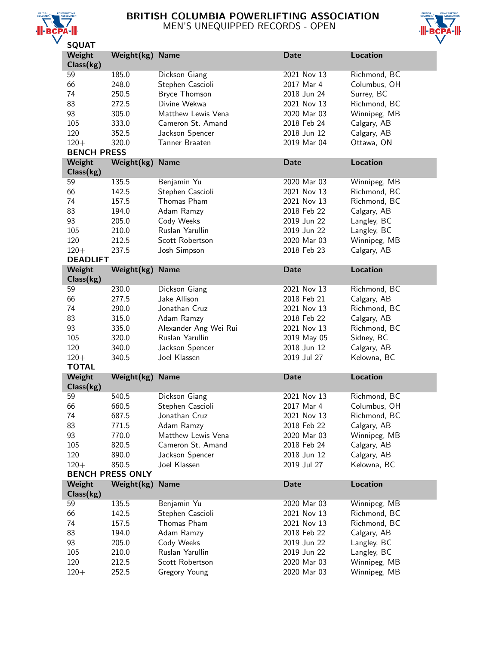

# BRITISH COLUMBIA POWERLIFTING ASSOCIATION MEN'S UNEQUIPPED RECORDS - OPEN



| <b>SQUAT</b>               |                         |                                  |                            |                              |  |
|----------------------------|-------------------------|----------------------------------|----------------------------|------------------------------|--|
| Weight                     | Weight(kg)              | <b>Name</b>                      | <b>Date</b>                | Location                     |  |
| Class(kg)                  |                         |                                  |                            |                              |  |
| 59                         | 185.0                   | Dickson Giang                    | 2021 Nov 13                | Richmond, BC                 |  |
| 66                         | 248.0                   | Stephen Cascioli                 | 2017 Mar 4                 | Columbus, OH                 |  |
| 74                         | 250.5                   | <b>Bryce Thomson</b>             | 2018 Jun 24                | Surrey, BC                   |  |
| 83                         | 272.5                   | Divine Wekwa                     | 2021 Nov 13                | Richmond, BC                 |  |
| 93                         | 305.0                   | Matthew Lewis Vena               | 2020 Mar 03                |                              |  |
|                            |                         |                                  |                            | Winnipeg, MB                 |  |
| 105                        | 333.0                   | Cameron St. Amand                | 2018 Feb 24                | Calgary, AB                  |  |
| 120                        | 352.5                   | Jackson Spencer                  | 2018 Jun 12                | Calgary, AB                  |  |
| $120 +$                    | 320.0                   | Tanner Braaten                   | 2019 Mar 04                | Ottawa, ON                   |  |
| <b>BENCH PRESS</b>         |                         |                                  |                            |                              |  |
| Weight<br>Class(kg)        | Weight(kg)              | <b>Name</b>                      | <b>Date</b>                | <b>Location</b>              |  |
| 59                         | 135.5                   | Benjamin Yu                      | 2020 Mar 03                | Winnipeg, MB                 |  |
| 66                         | 142.5                   | Stephen Cascioli                 | 2021 Nov 13                | Richmond, BC                 |  |
| 74                         | 157.5                   | Thomas Pham                      | 2021 Nov 13                | Richmond, BC                 |  |
| 83                         | 194.0                   | Adam Ramzy                       | 2018 Feb 22                | Calgary, AB                  |  |
| 93                         | 205.0                   | Cody Weeks                       | 2019 Jun 22                | Langley, BC                  |  |
| 105                        | 210.0                   | Ruslan Yarullin                  | 2019 Jun 22                | Langley, BC                  |  |
| 120                        | 212.5                   | Scott Robertson                  | 2020 Mar 03                | Winnipeg, MB                 |  |
|                            |                         |                                  |                            |                              |  |
| $120 +$<br><b>DEADLIFT</b> | 237.5                   | Josh Simpson                     | 2018 Feb 23                | Calgary, AB                  |  |
| Weight                     |                         | <b>Name</b>                      | <b>Date</b>                | <b>Location</b>              |  |
|                            | Weight(kg)              |                                  |                            |                              |  |
| Class(kg)                  |                         |                                  |                            |                              |  |
| 59                         | 230.0                   | Dickson Giang                    | 2021 Nov 13                | Richmond, BC                 |  |
| 66                         | 277.5                   | Jake Allison                     | 2018 Feb 21                | Calgary, AB                  |  |
|                            |                         |                                  |                            |                              |  |
| 74                         | 290.0                   | Jonathan Cruz                    | 2021 Nov 13                | Richmond, BC                 |  |
| 83                         | 315.0                   | Adam Ramzy                       | 2018 Feb 22                | Calgary, AB                  |  |
| 93                         | 335.0                   | Alexander Ang Wei Rui            | 2021 Nov 13                | Richmond, BC                 |  |
| 105                        | 320.0                   | Ruslan Yarullin                  | 2019 May 05                | Sidney, BC                   |  |
| 120                        | 340.0                   | Jackson Spencer                  | 2018 Jun 12                | Calgary, AB                  |  |
| $120 +$                    | 340.5                   | Joel Klassen                     | 2019 Jul 27                | Kelowna, BC                  |  |
| <b>TOTAL</b>               |                         |                                  |                            |                              |  |
| Weight                     | Weight(kg)              | <b>Name</b>                      | <b>Date</b>                | <b>Location</b>              |  |
| Class(kg)                  |                         |                                  |                            |                              |  |
| 59                         | 540.5                   | Dickson Giang                    | 2021 Nov 13                | Richmond, BC                 |  |
|                            |                         |                                  |                            |                              |  |
| 66<br>74                   | 660.5                   | Stephen Cascioli                 | 2017 Mar 4                 | Columbus, OH                 |  |
|                            | 687.5                   | Jonathan Cruz                    | 2021 Nov 13                | Richmond, BC                 |  |
| 83                         | 771.5                   | Adam Ramzy                       | 2018 Feb 22                | Calgary, AB                  |  |
| 93                         | 770.0                   | Matthew Lewis Vena               | 2020 Mar 03                | Winnipeg, MB                 |  |
| 105                        | 820.5                   | Cameron St. Amand                | 2018 Feb 24                | Calgary, AB                  |  |
| 120                        | 890.0                   | Jackson Spencer                  | 2018 Jun 12                | Calgary, AB                  |  |
| $120 +$                    | 850.5                   | Joel Klassen                     | 2019 Jul 27                | Kelowna, BC                  |  |
|                            | <b>BENCH PRESS ONLY</b> |                                  |                            |                              |  |
| Weight<br>Class(kg)        | Weight(kg)              | <b>Name</b>                      | <b>Date</b>                | Location                     |  |
| 59                         | 135.5                   | Benjamin Yu                      | 2020 Mar 03                | Winnipeg, MB                 |  |
|                            |                         |                                  | 2021 Nov 13                |                              |  |
| 66                         | 142.5                   | Stephen Cascioli                 |                            | Richmond, BC                 |  |
| 74                         | 157.5                   | Thomas Pham                      | 2021 Nov 13                | Richmond, BC                 |  |
| 83                         | 194.0                   | Adam Ramzy                       | 2018 Feb 22                | Calgary, AB                  |  |
| 93                         | 205.0                   | Cody Weeks                       | 2019 Jun 22                | Langley, BC                  |  |
| 105                        | 210.0                   | Ruslan Yarullin                  | 2019 Jun 22                | Langley, BC                  |  |
| 120<br>$120 +$             | 212.5<br>252.5          | Scott Robertson<br>Gregory Young | 2020 Mar 03<br>2020 Mar 03 | Winnipeg, MB<br>Winnipeg, MB |  |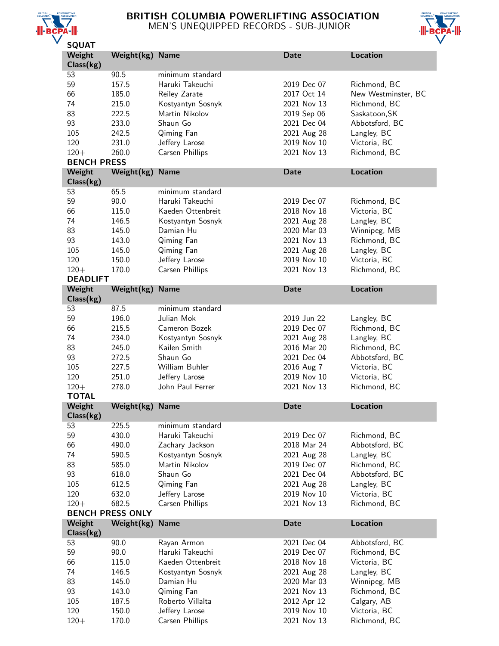

### BRITISH COLUMBIA POWERLIFTING ASSOCIATION MEN'S UNEQUIPPED RECORDS - SUB-JUNIOR



| <b>SQUAT</b>       |                         |                   |                            |                     |
|--------------------|-------------------------|-------------------|----------------------------|---------------------|
| Weight             | Weight(kg) Name         |                   | <b>Date</b>                | Location            |
| Class(kg)          |                         |                   |                            |                     |
| 53                 | 90.5                    | minimum standard  |                            |                     |
| 59                 | 157.5                   | Haruki Takeuchi   | 2019 Dec 07                | Richmond, BC        |
| 66                 |                         |                   | 2017 Oct 14                |                     |
|                    | 185.0                   | Reiley Zarate     |                            | New Westminster, BC |
| 74                 | 215.0                   | Kostyantyn Sosnyk | 2021 Nov 13                | Richmond, BC        |
| 83                 | 222.5                   | Martin Nikolov    | 2019 Sep 06                | Saskatoon, SK       |
| 93                 | 233.0                   | Shaun Go          | 2021 Dec 04                | Abbotsford, BC      |
| 105                | 242.5                   | Qiming Fan        | 2021 Aug 28                | Langley, BC         |
| 120                | 231.0                   | Jeffery Larose    | 2019 Nov 10                | Victoria, BC        |
| $120 +$            | 260.0                   | Carsen Phillips   | 2021 Nov 13                | Richmond, BC        |
| <b>BENCH PRESS</b> |                         |                   |                            |                     |
| Weight             | Weight(kg)              | <b>Name</b>       | <b>Date</b>                | <b>Location</b>     |
| Class(kg)          |                         |                   |                            |                     |
|                    |                         |                   |                            |                     |
| 53                 | 65.5                    | minimum standard  |                            |                     |
| 59                 | 90.0                    | Haruki Takeuchi   | 2019 Dec 07                | Richmond, BC        |
| 66                 | 115.0                   | Kaeden Ottenbreit | 2018 Nov 18                | Victoria, BC        |
| 74                 | 146.5                   | Kostyantyn Sosnyk | 2021 Aug 28                | Langley, BC         |
| 83                 | 145.0                   | Damian Hu         | 2020 Mar 03                | Winnipeg, MB        |
| 93                 | 143.0                   | Qiming Fan        | 2021 Nov 13                | Richmond, BC        |
| 105                | 145.0                   | Qiming Fan        | 2021 Aug 28                | Langley, BC         |
| 120                | 150.0                   | Jeffery Larose    | 2019 Nov 10                | Victoria, BC        |
| $120 +$            | 170.0                   | Carsen Phillips   | 2021 Nov 13                | Richmond, BC        |
|                    |                         |                   |                            |                     |
| <b>DEADLIFT</b>    |                         |                   |                            |                     |
| Weight             | Weight(kg)              | <b>Name</b>       | <b>Date</b>                | <b>Location</b>     |
| Class(kg)          |                         |                   |                            |                     |
| 53                 | 87.5                    | minimum standard  |                            |                     |
| 59                 | 196.0                   | Julian Mok        | 2019 Jun 22                | Langley, BC         |
| 66                 | 215.5                   | Cameron Bozek     | 2019 Dec 07                | Richmond, BC        |
| 74                 | 234.0                   | Kostyantyn Sosnyk | 2021 Aug 28                | Langley, BC         |
|                    | 245.0                   | Kailen Smith      | 2016 Mar 20                | Richmond, BC        |
|                    |                         |                   |                            |                     |
| 83                 |                         |                   |                            |                     |
| 93                 | 272.5                   | Shaun Go          | 2021 Dec 04                | Abbotsford, BC      |
| 105                | 227.5                   | William Buhler    | 2016 Aug 7                 | Victoria, BC        |
| 120                | 251.0                   | Jeffery Larose    | 2019 Nov 10                | Victoria, BC        |
| $120 +$            | 278.0                   | John Paul Ferrer  | 2021 Nov 13                | Richmond, BC        |
| <b>TOTAL</b>       |                         |                   |                            |                     |
| Weight             | Weight(kg) Name         |                   | Date                       | Location            |
| Class(kg)          |                         |                   |                            |                     |
| 53                 | 225.5                   | minimum standard  |                            |                     |
| 59                 | 430.0                   | Haruki Takeuchi   | 2019 Dec 07                | Richmond, BC        |
|                    |                         |                   |                            |                     |
| 66                 | 490.0                   | Zachary Jackson   | 2018 Mar 24                | Abbotsford, BC      |
| 74                 | 590.5                   | Kostyantyn Sosnyk | 2021 Aug 28                | Langley, BC         |
| 83                 | 585.0                   | Martin Nikolov    | 2019 Dec 07                | Richmond, BC        |
| 93                 | 618.0                   | Shaun Go          | 2021 Dec 04                | Abbotsford, BC      |
| 105                | 612.5                   | Qiming Fan        | 2021 Aug 28                | Langley, BC         |
| 120                | 632.0                   | Jeffery Larose    | 2019 Nov 10                | Victoria, BC        |
| $120 +$            | 682.5                   | Carsen Phillips   | 2021 Nov 13                | Richmond, BC        |
|                    | <b>BENCH PRESS ONLY</b> |                   |                            |                     |
| Weight             | Weight(kg)              | <b>Name</b>       | <b>Date</b>                | <b>Location</b>     |
| Class(kg)          |                         |                   |                            |                     |
|                    |                         |                   |                            |                     |
| 53                 | 90.0                    | Rayan Armon       | 2021 Dec 04                | Abbotsford, BC      |
| 59                 | 90.0                    | Haruki Takeuchi   | 2019 Dec 07                | Richmond, BC        |
| 66                 | 115.0                   | Kaeden Ottenbreit | 2018 Nov 18                | Victoria, BC        |
| 74                 | 146.5                   | Kostyantyn Sosnyk | 2021 Aug 28                | Langley, BC         |
| 83                 | 145.0                   | Damian Hu         | 2020 Mar 03                | Winnipeg, MB        |
| 93                 | 143.0                   | Qiming Fan        | 2021 Nov 13                | Richmond, BC        |
| 105                | 187.5                   | Roberto Villalta  | 2012 Apr 12                | Calgary, AB         |
| 120<br>$120 +$     | 150.0                   | Jeffery Larose    | 2019 Nov 10<br>2021 Nov 13 | Victoria, BC        |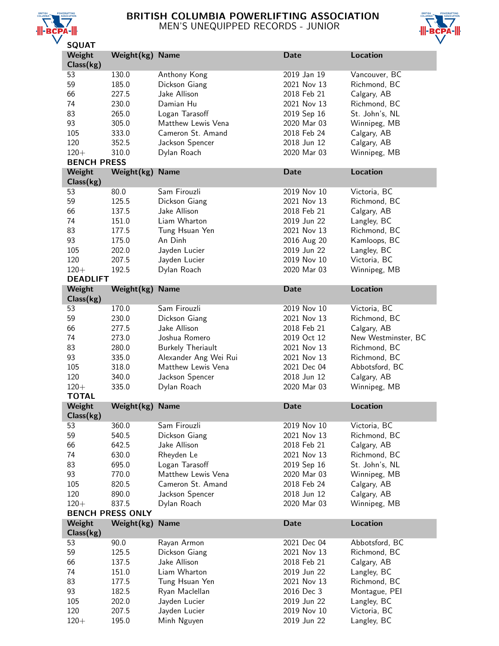

# BRITISH COLUMBIA POWERLIFTING ASSOCIATION MEN'S UNEQUIPPED RECORDS - JUNIOR



| ---                |                         |                          |             |                     |  |
|--------------------|-------------------------|--------------------------|-------------|---------------------|--|
| Weight             | Weight(kg) Name         |                          | <b>Date</b> | <b>Location</b>     |  |
| Class(kg)          |                         |                          |             |                     |  |
| 53                 | 130.0                   | Anthony Kong             | 2019 Jan 19 | Vancouver, BC       |  |
|                    |                         |                          |             |                     |  |
| 59                 | 185.0                   | Dickson Giang            | 2021 Nov 13 | Richmond, BC        |  |
| 66                 | 227.5                   | Jake Allison             | 2018 Feb 21 | Calgary, AB         |  |
| 74                 | 230.0                   | Damian Hu                | 2021 Nov 13 | Richmond, BC        |  |
| 83                 | 265.0                   | Logan Tarasoff           | 2019 Sep 16 | St. John's, NL      |  |
|                    |                         |                          |             |                     |  |
| 93                 | 305.0                   | Matthew Lewis Vena       | 2020 Mar 03 | Winnipeg, MB        |  |
| 105                | 333.0                   | Cameron St. Amand        | 2018 Feb 24 | Calgary, AB         |  |
| 120                | 352.5                   | Jackson Spencer          | 2018 Jun 12 | Calgary, AB         |  |
| $120 +$            | 310.0                   | Dylan Roach              | 2020 Mar 03 | Winnipeg, MB        |  |
|                    |                         |                          |             |                     |  |
| <b>BENCH PRESS</b> |                         |                          |             |                     |  |
| Weight             | Weight(kg)              | <b>Name</b>              | <b>Date</b> | Location            |  |
| Class(kg)          |                         |                          |             |                     |  |
| 53                 | 80.0                    | Sam Firouzli             | 2019 Nov 10 | Victoria, BC        |  |
|                    |                         |                          |             |                     |  |
| 59                 | 125.5                   | Dickson Giang            | 2021 Nov 13 | Richmond, BC        |  |
| 66                 | 137.5                   | Jake Allison             | 2018 Feb 21 | Calgary, AB         |  |
| 74                 | 151.0                   | Liam Wharton             | 2019 Jun 22 | Langley, BC         |  |
| 83                 |                         |                          | 2021 Nov 13 |                     |  |
|                    | 177.5                   | Tung Hsuan Yen           |             | Richmond, BC        |  |
| 93                 | 175.0                   | An Dinh                  | 2016 Aug 20 | Kamloops, BC        |  |
| 105                | 202.0                   | Jayden Lucier            | 2019 Jun 22 | Langley, BC         |  |
| 120                | 207.5                   | Jayden Lucier            | 2019 Nov 10 | Victoria, BC        |  |
| $120 +$            | 192.5                   |                          |             |                     |  |
|                    |                         | Dylan Roach              | 2020 Mar 03 | Winnipeg, MB        |  |
| <b>DEADLIFT</b>    |                         |                          |             |                     |  |
| Weight             | Weight(kg)              | <b>Name</b>              | <b>Date</b> | Location            |  |
| Class(kg)          |                         |                          |             |                     |  |
| 53                 |                         | Sam Firouzli             | 2019 Nov 10 |                     |  |
|                    | 170.0                   |                          |             | Victoria, BC        |  |
| 59                 | 230.0                   | Dickson Giang            | 2021 Nov 13 | Richmond, BC        |  |
| 66                 | 277.5                   | Jake Allison             | 2018 Feb 21 | Calgary, AB         |  |
| 74                 | 273.0                   | Joshua Romero            | 2019 Oct 12 | New Westminster, BC |  |
| 83                 | 280.0                   |                          | 2021 Nov 13 |                     |  |
|                    |                         | <b>Burkely Theriault</b> |             | Richmond, BC        |  |
| 93                 | 335.0                   | Alexander Ang Wei Rui    | 2021 Nov 13 | Richmond, BC        |  |
| 105                | 318.0                   | Matthew Lewis Vena       | 2021 Dec 04 | Abbotsford, BC      |  |
| 120                | 340.0                   | Jackson Spencer          | 2018 Jun 12 | Calgary, AB         |  |
| $120 +$            | 335.0                   | Dylan Roach              | 2020 Mar 03 | Winnipeg, MB        |  |
|                    |                         |                          |             |                     |  |
| <b>TOTAL</b>       |                         |                          |             |                     |  |
| Weight             | Weight(kg)              | <b>Name</b>              | <b>Date</b> | Location            |  |
| Class(kg)          |                         |                          |             |                     |  |
| 53                 | 360.0                   | Sam Firouzli             | 2019 Nov 10 | Victoria, BC        |  |
| 59                 | 540.5                   | Dickson Giang            | 2021 Nov 13 | Richmond, BC        |  |
|                    |                         |                          |             |                     |  |
| 66                 | 642.5                   | Jake Allison             | 2018 Feb 21 | Calgary, AB         |  |
| 74                 | 630.0                   | Rheyden Le               | 2021 Nov 13 | Richmond, BC        |  |
| 83                 | 695.0                   | Logan Tarasoff           | 2019 Sep 16 | St. John's, NL      |  |
| 93                 | 770.0                   | Matthew Lewis Vena       | 2020 Mar 03 | Winnipeg, MB        |  |
|                    |                         |                          |             |                     |  |
| 105                | 820.5                   | Cameron St. Amand        | 2018 Feb 24 | Calgary, AB         |  |
| 120                | 890.0                   | Jackson Spencer          | 2018 Jun 12 | Calgary, AB         |  |
| $120 +$            | 837.5                   | Dylan Roach              | 2020 Mar 03 | Winnipeg, MB        |  |
|                    | <b>BENCH PRESS ONLY</b> |                          |             |                     |  |
|                    |                         |                          | <b>Date</b> | <b>Location</b>     |  |
| Weight             | Weight(kg)              | <b>Name</b>              |             |                     |  |
| Class(kg)          |                         |                          |             |                     |  |
| 53                 | 90.0                    | Rayan Armon              | 2021 Dec 04 | Abbotsford, BC      |  |
| 59                 | 125.5                   | Dickson Giang            | 2021 Nov 13 | Richmond, BC        |  |
| 66                 | 137.5                   | Jake Allison             | 2018 Feb 21 | Calgary, AB         |  |
|                    |                         |                          |             |                     |  |
| 74                 | 151.0                   | Liam Wharton             | 2019 Jun 22 | Langley, BC         |  |
| 83                 | 177.5                   | Tung Hsuan Yen           | 2021 Nov 13 | Richmond, BC        |  |
| 93                 | 182.5                   | Ryan Maclellan           | 2016 Dec 3  | Montague, PEI       |  |
| 105                | 202.0                   | Jayden Lucier            | 2019 Jun 22 | Langley, BC         |  |
|                    |                         |                          |             |                     |  |
| 120                | 207.5                   | Jayden Lucier            | 2019 Nov 10 | Victoria, BC        |  |
| $120 +$            | 195.0                   | Minh Nguyen              | 2019 Jun 22 | Langley, BC         |  |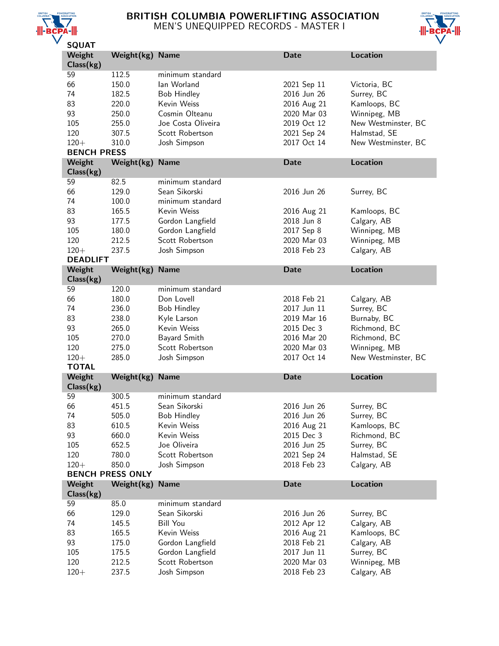

# BRITISH COLUMBIA POWERLIFTING ASSOCIATION MEN'S UNEQUIPPED RECORDS - MASTER I



| יהשע               |                         |                    |             |                     |
|--------------------|-------------------------|--------------------|-------------|---------------------|
| Weight             | Weight(kg) Name         |                    | Date        | Location            |
| Class(kg)          |                         |                    |             |                     |
| 59                 | 112.5                   | minimum standard   |             |                     |
| 66                 | 150.0                   | lan Worland        | 2021 Sep 11 | Victoria, BC        |
| 74                 | 182.5                   | <b>Bob Hindley</b> | 2016 Jun 26 | Surrey, BC          |
| 83                 | 220.0                   | Kevin Weiss        | 2016 Aug 21 | Kamloops, BC        |
| 93                 | 250.0                   | Cosmin Olteanu     | 2020 Mar 03 | Winnipeg, MB        |
| 105                | 255.0                   | Joe Costa Oliveira | 2019 Oct 12 | New Westminster, BC |
| 120                | 307.5                   | Scott Robertson    | 2021 Sep 24 | Halmstad, SE        |
| $120 +$            | 310.0                   | Josh Simpson       | 2017 Oct 14 | New Westminster, BC |
| <b>BENCH PRESS</b> |                         |                    |             |                     |
| Weight             | Weight(kg)              | <b>Name</b>        | Date        | <b>Location</b>     |
| Class(kg)          |                         |                    |             |                     |
| 59                 | 82.5                    | minimum standard   |             |                     |
| 66                 | 129.0                   | Sean Sikorski      | 2016 Jun 26 | Surrey, BC          |
| 74                 | 100.0                   | minimum standard   |             |                     |
| 83                 |                         | Kevin Weiss        |             |                     |
|                    | 165.5                   |                    | 2016 Aug 21 | Kamloops, BC        |
| 93                 | 177.5                   | Gordon Langfield   | 2018 Jun 8  | Calgary, AB         |
| 105                | 180.0                   | Gordon Langfield   | 2017 Sep 8  | Winnipeg, MB        |
| 120                | 212.5                   | Scott Robertson    | 2020 Mar 03 | Winnipeg, MB        |
| $120 +$            | 237.5                   | Josh Simpson       | 2018 Feb 23 | Calgary, AB         |
| <b>DEADLIFT</b>    |                         |                    |             |                     |
| Weight             | Weight(kg)              | <b>Name</b>        | <b>Date</b> | <b>Location</b>     |
| Class(kg)          |                         |                    |             |                     |
| 59                 | 120.0                   | minimum standard   |             |                     |
| 66                 | 180.0                   | Don Lovell         | 2018 Feb 21 | Calgary, AB         |
| 74                 | 236.0                   | <b>Bob Hindley</b> | 2017 Jun 11 | Surrey, BC          |
| 83                 | 238.0                   | Kyle Larson        | 2019 Mar 16 | Burnaby, BC         |
| 93                 | 265.0                   | Kevin Weiss        | 2015 Dec 3  | Richmond, BC        |
| 105                | 270.0                   | Bayard Smith       | 2016 Mar 20 | Richmond, BC        |
| 120                | 275.0                   | Scott Robertson    | 2020 Mar 03 | Winnipeg, MB        |
| $120 +$            | 285.0                   | Josh Simpson       | 2017 Oct 14 | New Westminster, BC |
| <b>TOTAL</b>       |                         |                    |             |                     |
| Weight             | Weight(kg)              | <b>Name</b>        | Date        | Location            |
| Class(kg)          |                         |                    |             |                     |
| 59                 | 300.5                   | minimum standard   |             |                     |
|                    |                         | Sean Sikorski      |             |                     |
| 66                 | 451.5                   |                    | 2016 Jun 26 | Surrey, BC          |
| 74                 | 505.0                   | <b>Bob Hindley</b> | 2016 Jun 26 | Surrey, BC          |
| 83                 | 610.5                   | Kevin Weiss        | 2016 Aug 21 | Kamloops, BC        |
| 93                 | 660.0                   | Kevin Weiss        | 2015 Dec 3  | Richmond, BC        |
| 105                | 652.5                   | Joe Oliveira       | 2016 Jun 25 | Surrey, BC          |
| 120                | 780.0                   | Scott Robertson    | 2021 Sep 24 | Halmstad, SE        |
| $120 +$            | 850.0                   | Josh Simpson       | 2018 Feb 23 | Calgary, AB         |
|                    | <b>BENCH PRESS ONLY</b> |                    |             |                     |
| Weight             | Weight(kg)              | <b>Name</b>        | <b>Date</b> | <b>Location</b>     |
| Class(kg)          |                         |                    |             |                     |
| 59                 | 85.0                    | minimum standard   |             |                     |
| 66                 | 129.0                   | Sean Sikorski      | 2016 Jun 26 | Surrey, BC          |
| 74                 | 145.5                   | Bill You           | 2012 Apr 12 | Calgary, AB         |
| 83                 | 165.5                   | Kevin Weiss        | 2016 Aug 21 | Kamloops, BC        |
| 93                 | 175.0                   | Gordon Langfield   | 2018 Feb 21 | Calgary, AB         |
| 105                | 175.5                   | Gordon Langfield   | 2017 Jun 11 | Surrey, BC          |
| 120                | 212.5                   | Scott Robertson    | 2020 Mar 03 | Winnipeg, MB        |
| $120 +$            | 237.5                   | Josh Simpson       | 2018 Feb 23 | Calgary, AB         |
|                    |                         |                    |             |                     |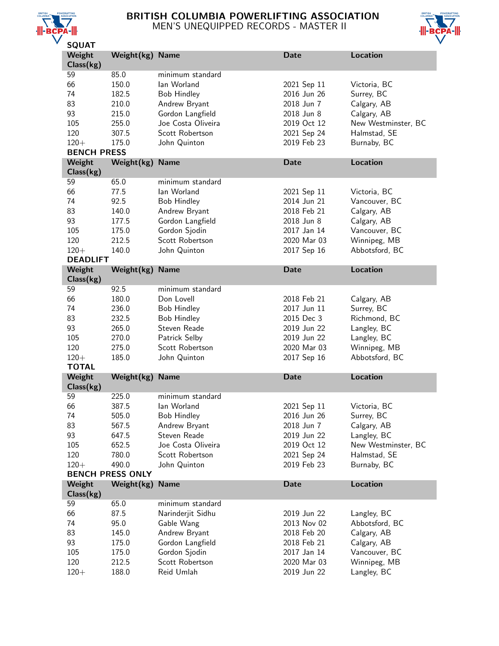

# BRITISH COLUMBIA POWERLIFTING ASSOCIATION MEN'S UNEQUIPPED RECORDS - MASTER II



| JQUAI               |                         |                               |                            |                             |
|---------------------|-------------------------|-------------------------------|----------------------------|-----------------------------|
| Weight<br>Class(kg) | Weight(kg) Name         |                               | <b>Date</b>                | <b>Location</b>             |
| 59                  | 85.0                    | minimum standard              |                            |                             |
| 66                  | 150.0                   | lan Worland                   | 2021 Sep 11                | Victoria, BC                |
| 74                  | 182.5                   | <b>Bob Hindley</b>            | 2016 Jun 26                | Surrey, BC                  |
| 83                  | 210.0                   | Andrew Bryant                 | 2018 Jun 7                 | Calgary, AB                 |
| 93                  | 215.0                   | Gordon Langfield              | 2018 Jun 8                 | Calgary, AB                 |
| 105                 | 255.0                   | Joe Costa Oliveira            | 2019 Oct 12                | New Westminster, BC         |
| 120                 | 307.5                   | Scott Robertson               | 2021 Sep 24                | Halmstad, SE                |
| $120 +$             | 175.0                   |                               | 2019 Feb 23                |                             |
| <b>BENCH PRESS</b>  |                         | John Quinton                  |                            | Burnaby, BC                 |
| Weight              | Weight(kg)              | <b>Name</b>                   | <b>Date</b>                | <b>Location</b>             |
| Class(kg)           |                         |                               |                            |                             |
| 59                  | 65.0                    | minimum standard              |                            |                             |
| 66                  | 77.5                    | lan Worland                   | 2021 Sep 11                | Victoria, BC                |
| 74                  | 92.5                    | <b>Bob Hindley</b>            | 2014 Jun 21                | Vancouver, BC               |
| 83                  | 140.0                   | Andrew Bryant                 | 2018 Feb 21                | Calgary, AB                 |
| 93                  | 177.5                   | Gordon Langfield              | 2018 Jun 8                 | Calgary, AB                 |
| 105                 | 175.0                   | Gordon Sjodin                 | 2017 Jan 14                | Vancouver, BC               |
| 120                 | 212.5                   | Scott Robertson               | 2020 Mar 03                | Winnipeg, MB                |
| $120 +$             | 140.0                   | John Quinton                  | 2017 Sep 16                | Abbotsford, BC              |
| <b>DEADLIFT</b>     |                         |                               |                            |                             |
| Weight              | Weight(kg)              | <b>Name</b>                   | <b>Date</b>                | <b>Location</b>             |
| Class(kg)           |                         |                               |                            |                             |
| 59                  | 92.5                    | minimum standard              |                            |                             |
| 66                  | 180.0                   | Don Lovell                    | 2018 Feb 21                | Calgary, AB                 |
| 74                  | 236.0                   | <b>Bob Hindley</b>            | 2017 Jun 11                | Surrey, BC                  |
| 83                  | 232.5                   | <b>Bob Hindley</b>            | 2015 Dec 3                 | Richmond, BC                |
| 93                  | 265.0                   | Steven Reade                  | 2019 Jun 22                | Langley, BC                 |
| 105                 | 270.0                   | Patrick Selby                 | 2019 Jun 22                | Langley, BC                 |
| 120                 | 275.0                   | Scott Robertson               | 2020 Mar 03                | Winnipeg, MB                |
| $120 +$             | 185.0                   | John Quinton                  | 2017 Sep 16                | Abbotsford, BC              |
| <b>TOTAL</b>        |                         |                               |                            |                             |
| Weight              | Weight(kg)              | <b>Name</b>                   | <b>Date</b>                | Location                    |
| Class(kg)           |                         |                               |                            |                             |
| 59                  | 225.0                   | minimum standard              |                            |                             |
| 66                  | 387.5                   | lan Worland                   | 2021 Sep 11                | Victoria, BC                |
| 74                  | 505.0                   | <b>Bob Hindley</b>            | 2016 Jun 26                | Surrey, BC                  |
| 83                  | 567.5                   | Andrew Bryant                 | 2018 Jun 7                 | Calgary, AB                 |
| 93                  | 647.5                   | Steven Reade                  | 2019 Jun 22                | Langley, BC                 |
| 105                 | 652.5                   | Joe Costa Oliveira            | 2019 Oct 12                | New Westminster, BC         |
| 120                 | 780.0                   | Scott Robertson               | 2021 Sep 24                | Halmstad, SE                |
| $120 +$             | 490.0                   | John Quinton                  | 2019 Feb 23                | Burnaby, BC                 |
|                     | <b>BENCH PRESS ONLY</b> |                               |                            |                             |
| Weight              | Weight(kg)              | <b>Name</b>                   | <b>Date</b>                | <b>Location</b>             |
| Class(kg)           |                         |                               |                            |                             |
| 59                  | 65.0                    | minimum standard              |                            |                             |
| 66                  | 87.5                    | Narinderjit Sidhu             | 2019 Jun 22                | Langley, BC                 |
| 74                  | 95.0                    | Gable Wang                    | 2013 Nov 02                | Abbotsford, BC              |
| 83                  | 145.0                   | Andrew Bryant                 | 2018 Feb 20                | Calgary, AB                 |
| 93                  |                         |                               |                            |                             |
|                     |                         |                               |                            |                             |
|                     | 175.0                   | Gordon Langfield              | 2018 Feb 21                | Calgary, AB                 |
| 105                 | 175.0                   | Gordon Sjodin                 | 2017 Jan 14                | Vancouver, BC               |
| 120<br>$120 +$      | 212.5<br>188.0          | Scott Robertson<br>Reid Umlah | 2020 Mar 03<br>2019 Jun 22 | Winnipeg, MB<br>Langley, BC |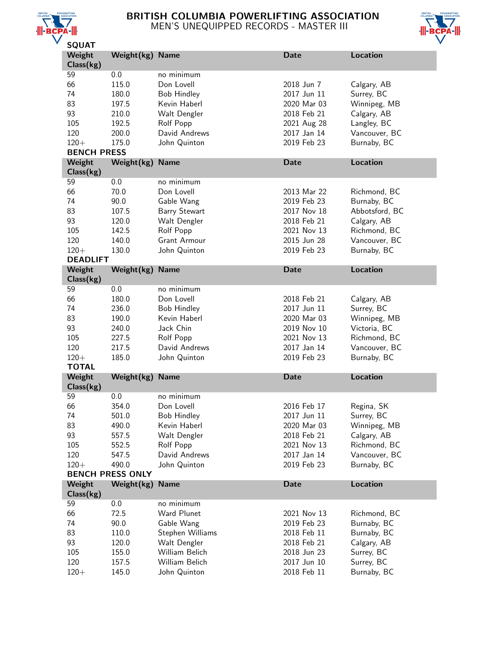

# BRITISH COLUMBIA POWERLIFTING ASSOCIATION MEN'S UNEQUIPPED RECORDS - MASTER III



| JQUAI                   |                         |                                |                            |                           |
|-------------------------|-------------------------|--------------------------------|----------------------------|---------------------------|
| Weight<br>Class(kg)     | Weight(kg)              | <b>Name</b>                    | <b>Date</b>                | <b>Location</b>           |
| 59                      | 0.0                     | no minimum                     |                            |                           |
| 66                      | 115.0                   | Don Lovell                     | 2018 Jun 7                 | Calgary, AB               |
| 74                      | 180.0                   | <b>Bob Hindley</b>             | 2017 Jun 11                | Surrey, BC                |
| 83                      | 197.5                   | Kevin Haberl                   | 2020 Mar 03                | Winnipeg, MB              |
|                         |                         |                                |                            |                           |
| 93                      | 210.0                   | Walt Dengler                   | 2018 Feb 21                | Calgary, AB               |
| 105                     | 192.5                   | Rolf Popp                      | 2021 Aug 28                | Langley, BC               |
| 120                     | 200.0                   | David Andrews                  | 2017 Jan 14                | Vancouver, BC             |
| $120 +$                 | 175.0                   | John Quinton                   | 2019 Feb 23                | Burnaby, BC               |
| <b>BENCH PRESS</b>      |                         |                                |                            |                           |
| Weight                  | Weight(kg)              | <b>Name</b>                    | <b>Date</b>                | <b>Location</b>           |
| Class(kg)               |                         |                                |                            |                           |
| 59                      | 0.0                     | no minimum                     |                            |                           |
| 66                      | 70.0                    | Don Lovell                     | 2013 Mar 22                | Richmond, BC              |
| 74                      | 90.0                    | Gable Wang                     | 2019 Feb 23                | Burnaby, BC               |
| 83                      | 107.5                   | <b>Barry Stewart</b>           | 2017 Nov 18                | Abbotsford, BC            |
| 93                      | 120.0                   | Walt Dengler                   | 2018 Feb 21                | Calgary, AB               |
| 105                     | 142.5                   | Rolf Popp                      | 2021 Nov 13                | Richmond, BC              |
| 120                     | 140.0                   | Grant Armour                   | 2015 Jun 28                | Vancouver, BC             |
| $120 +$                 | 130.0                   | John Quinton                   | 2019 Feb 23                | Burnaby, BC               |
| <b>DEADLIFT</b>         |                         |                                |                            |                           |
| Weight                  | Weight(kg)              | <b>Name</b>                    | <b>Date</b>                | <b>Location</b>           |
| Class(kg)               |                         |                                |                            |                           |
| 59                      | 0.0                     | no minimum                     |                            |                           |
| 66                      | 180.0                   | Don Lovell                     | 2018 Feb 21                | Calgary, AB               |
| 74                      | 236.0                   | <b>Bob Hindley</b>             | 2017 Jun 11                | Surrey, BC                |
|                         |                         |                                |                            |                           |
| 83                      | 190.0                   | Kevin Haberl                   | 2020 Mar 03                | Winnipeg, MB              |
| 93                      | 240.0                   | Jack Chin                      | 2019 Nov 10                |                           |
|                         |                         |                                |                            | Victoria, BC              |
| 105                     | 227.5                   | Rolf Popp                      | 2021 Nov 13                | Richmond, BC              |
| 120                     | 217.5                   | David Andrews                  | 2017 Jan 14                | Vancouver, BC             |
| $120 +$<br><b>TOTAL</b> | 185.0                   | John Quinton                   | 2019 Feb 23                | Burnaby, BC               |
| Weight                  | Weight(kg)              | <b>Name</b>                    | <b>Date</b>                | <b>Location</b>           |
| Class(kg)               |                         |                                |                            |                           |
| 59                      | 0.0                     | no minimum                     |                            |                           |
| 66                      | 354.0                   | Don Lovell                     | 2016 Feb 17                | Regina, SK                |
| 74                      | 501.0                   | Bob Hindley                    | 2017 Jun 11                | Surrey, BC                |
| 83                      | 490.0                   | Kevin Haberl                   | 2020 Mar 03                | Winnipeg, MB              |
| 93                      | 557.5                   | Walt Dengler                   | 2018 Feb 21                | Calgary, AB               |
|                         |                         |                                |                            |                           |
| 105                     | 552.5                   | Rolf Popp                      | 2021 Nov 13                | Richmond, BC              |
| 120                     | 547.5                   | David Andrews                  | 2017 Jan 14                | Vancouver, BC             |
| $120 +$                 | 490.0                   | John Quinton                   | 2019 Feb 23                | Burnaby, BC               |
|                         | <b>BENCH PRESS ONLY</b> |                                |                            |                           |
| Weight<br>Class(kg)     | Weight(kg)              | <b>Name</b>                    | <b>Date</b>                | <b>Location</b>           |
| 59                      | 0.0                     | no minimum                     |                            |                           |
| 66                      | 72.5                    | Ward Plunet                    | 2021 Nov 13                | Richmond, BC              |
| 74                      | 90.0                    | Gable Wang                     | 2019 Feb 23                | Burnaby, BC               |
|                         |                         |                                |                            |                           |
| 83                      | 110.0                   | Stephen Williams               | 2018 Feb 11                | Burnaby, BC               |
| 93                      | 120.0                   | Walt Dengler                   | 2018 Feb 21                | Calgary, AB               |
| 105                     | 155.0                   | William Belich                 | 2018 Jun 23                | Surrey, BC                |
| 120<br>$120 +$          | 157.5<br>145.0          | William Belich<br>John Quinton | 2017 Jun 10<br>2018 Feb 11 | Surrey, BC<br>Burnaby, BC |